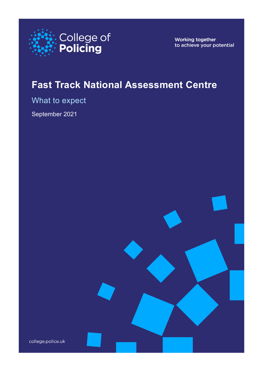

Working together to achieve your potential

# **Fast Track National Assessment Centre**

What to expect

September 2021

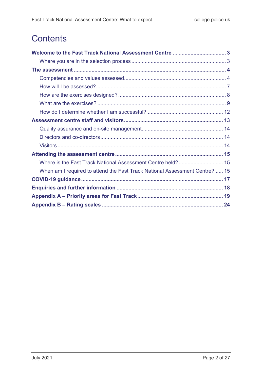# **Contents**

| When am I required to attend the Fast Track National Assessment Centre?  15 |  |
|-----------------------------------------------------------------------------|--|
|                                                                             |  |
|                                                                             |  |
|                                                                             |  |
|                                                                             |  |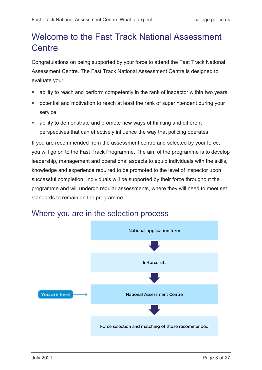# <span id="page-2-0"></span>Welcome to the Fast Track National Assessment **Centre**

Congratulations on being supported by your force to attend the Fast Track National Assessment Centre. The Fast Track National Assessment Centre is designed to evaluate your:

- ability to reach and perform competently in the rank of inspector within two years
- potential and motivation to reach at least the rank of superintendent during your service
- ability to demonstrate and promote new ways of thinking and different perspectives that can effectively influence the way that policing operates

If you are recommended from the assessment centre and selected by your force, you will go on to the Fast Track Programme. The aim of the programme is to develop leadership, management and operational aspects to equip individuals with the skills, knowledge and experience required to be promoted to the level of inspector upon successful completion. Individuals will be supported by their force throughout the programme and will undergo regular assessments, where they will need to meet set standards to remain on the programme.



### <span id="page-2-1"></span>Where you are in the selection process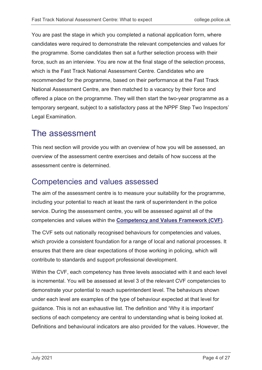You are past the stage in which you completed a national application form, where candidates were required to demonstrate the relevant competencies and values for the programme. Some candidates then sat a further selection process with their force, such as an interview. You are now at the final stage of the selection process, which is the Fast Track National Assessment Centre. Candidates who are recommended for the programme, based on their performance at the Fast Track National Assessment Centre, are then matched to a vacancy by their force and offered a place on the programme. They will then start the two-year programme as a temporary sergeant, subject to a satisfactory pass at the NPPF Step Two Inspectors' Legal Examination.

# <span id="page-3-0"></span>The assessment

This next section will provide you with an overview of how you will be assessed, an overview of the assessment centre exercises and details of how success at the assessment centre is determined.

# <span id="page-3-1"></span>Competencies and values assessed

The aim of the assessment centre is to measure your suitability for the programme, including your potential to reach at least the rank of superintendent in the police service. During the assessment centre, you will be assessed against all of the competencies and values within the **[Competency and Values Framework \(CVF\)](https://d17wy4t6ps30xx.cloudfront.net/production/uploads/2017/09/Competency-and-Values-Framework-for-Policing_4.11.16.pdf)**.

The CVF sets out nationally recognised behaviours for competencies and values, which provide a consistent foundation for a range of local and national processes. It ensures that there are clear expectations of those working in policing, which will contribute to standards and support professional development.

Within the CVF, each competency has three levels associated with it and each level is incremental. You will be assessed at level 3 of the relevant CVF competencies to demonstrate your potential to reach superintendent level. The behaviours shown under each level are examples of the type of behaviour expected at that level for guidance. This is not an exhaustive list. The definition and 'Why it is important' sections of each competency are central to understanding what is being looked at. Definitions and behavioural indicators are also provided for the values. However, the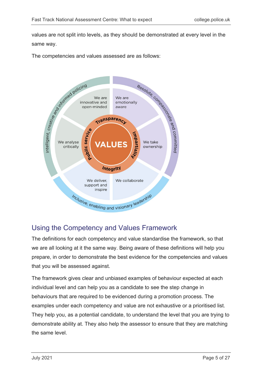values are not split into levels, as they should be demonstrated at every level in the same way.

The competencies and values assessed are as follows:



### Using the Competency and Values Framework

The definitions for each competency and value standardise the framework, so that we are all looking at it the same way. Being aware of these definitions will help you prepare, in order to demonstrate the best evidence for the competencies and values that you will be assessed against.

The framework gives clear and unbiased examples of behaviour expected at each individual level and can help you as a candidate to see the step change in behaviours that are required to be evidenced during a promotion process. The examples under each competency and value are not exhaustive or a prioritised list. They help you, as a potential candidate, to understand the level that you are trying to demonstrate ability at. They also help the assessor to ensure that they are matching the same level.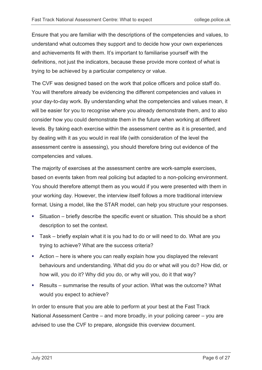Ensure that you are familiar with the descriptions of the competencies and values, to understand what outcomes they support and to decide how your own experiences and achievements fit with them. It's important to familiarise yourself with the definitions, not just the indicators, because these provide more context of what is trying to be achieved by a particular competency or value.

The CVF was designed based on the work that police officers and police staff do. You will therefore already be evidencing the different competencies and values in your day-to-day work. By understanding what the competencies and values mean, it will be easier for you to recognise where you already demonstrate them, and to also consider how you could demonstrate them in the future when working at different levels. By taking each exercise within the assessment centre as it is presented, and by dealing with it as you would in real life (with consideration of the level the assessment centre is assessing), you should therefore bring out evidence of the competencies and values.

The majority of exercises at the assessment centre are work-sample exercises, based on events taken from real policing but adapted to a non-policing environment. You should therefore attempt them as you would if you were presented with them in your working day. However, the interview itself follows a more traditional interview format. Using a model, like the STAR model, can help you structure your responses.

- Situation briefly describe the specific event or situation. This should be a short description to set the context.
- Task briefly explain what it is you had to do or will need to do. What are you trying to achieve? What are the success criteria?
- Action here is where you can really explain how you displayed the relevant behaviours and understanding. What did you do or what will you do? How did, or how will, you do it? Why did you do, or why will you, do it that way?
- Results summarise the results of your action. What was the outcome? What would you expect to achieve?

In order to ensure that you are able to perform at your best at the Fast Track National Assessment Centre – and more broadly, in your policing career – you are advised to use the CVF to prepare, alongside this overview document.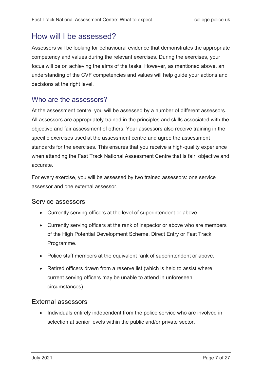## <span id="page-6-0"></span>How will I be assessed?

Assessors will be looking for behavioural evidence that demonstrates the appropriate competency and values during the relevant exercises. During the exercises, your focus will be on achieving the aims of the tasks. However, as mentioned above, an understanding of the CVF competencies and values will help guide your actions and decisions at the right level.

#### Who are the assessors?

At the assessment centre, you will be assessed by a number of different assessors. All assessors are appropriately trained in the principles and skills associated with the objective and fair assessment of others. Your assessors also receive training in the specific exercises used at the assessment centre and agree the assessment standards for the exercises. This ensures that you receive a high-quality experience when attending the Fast Track National Assessment Centre that is fair, objective and accurate.

For every exercise, you will be assessed by two trained assessors: one service assessor and one external assessor.

#### Service assessors

- Currently serving officers at the level of superintendent or above.
- Currently serving officers at the rank of inspector or above who are members of the High Potential Development Scheme, Direct Entry or Fast Track Programme.
- Police staff members at the equivalent rank of superintendent or above.
- Retired officers drawn from a reserve list (which is held to assist where current serving officers may be unable to attend in unforeseen circumstances).

#### External assessors

• Individuals entirely independent from the police service who are involved in selection at senior levels within the public and/or private sector.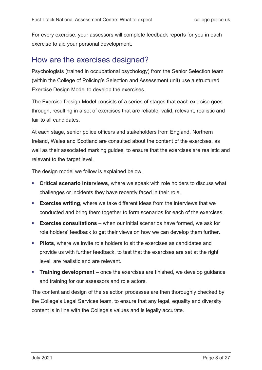For every exercise, your assessors will complete feedback reports for you in each exercise to aid your personal development.

## <span id="page-7-0"></span>How are the exercises designed?

Psychologists (trained in occupational psychology) from the Senior Selection team (within the College of Policing's Selection and Assessment unit) use a structured Exercise Design Model to develop the exercises.

The Exercise Design Model consists of a series of stages that each exercise goes through, resulting in a set of exercises that are reliable, valid, relevant, realistic and fair to all candidates.

At each stage, senior police officers and stakeholders from England, Northern Ireland, Wales and Scotland are consulted about the content of the exercises, as well as their associated marking guides, to ensure that the exercises are realistic and relevant to the target level.

The design model we follow is explained below.

- **Critical scenario interviews**, where we speak with role holders to discuss what challenges or incidents they have recently faced in their role.
- **Exercise writing**, where we take different ideas from the interviews that we conducted and bring them together to form scenarios for each of the exercises.
- **Exercise consultations** when our initial scenarios have formed, we ask for role holders' feedback to get their views on how we can develop them further.
- **Pilots**, where we invite role holders to sit the exercises as candidates and provide us with further feedback, to test that the exercises are set at the right level, are realistic and are relevant.
- **Training development** once the exercises are finished, we develop guidance and training for our assessors and role actors.

The content and design of the selection processes are then thoroughly checked by the College's Legal Services team, to ensure that any legal, equality and diversity content is in line with the College's values and is legally accurate.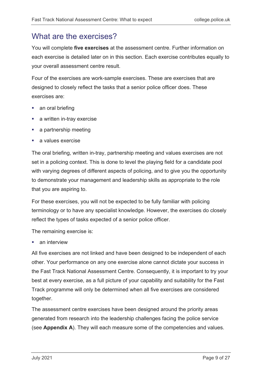## <span id="page-8-0"></span>What are the exercises?

You will complete **five exercises** at the assessment centre. Further information on each exercise is detailed later on in this section. Each exercise contributes equally to your overall assessment centre result.

Four of the exercises are work-sample exercises. These are exercises that are designed to closely reflect the tasks that a senior police officer does. These exercises are:

- **an oral briefing**
- **a** written in-tray exercise
- **a** partnership meeting
- **a** values exercise

The oral briefing, written in-tray, partnership meeting and values exercises are not set in a policing context. This is done to level the playing field for a candidate pool with varying degrees of different aspects of policing, and to give you the opportunity to demonstrate your management and leadership skills as appropriate to the role that you are aspiring to.

For these exercises, you will not be expected to be fully familiar with policing terminology or to have any specialist knowledge. However, the exercises do closely reflect the types of tasks expected of a senior police officer.

The remaining exercise is:

**an interview** 

All five exercises are not linked and have been designed to be independent of each other. Your performance on any one exercise alone cannot dictate your success in the Fast Track National Assessment Centre. Consequently, it is important to try your best at every exercise, as a full picture of your capability and suitability for the Fast Track programme will only be determined when all five exercises are considered together.

The assessment centre exercises have been designed around the priority areas generated from research into the leadership challenges facing the police service (see **Appendix A**). They will each measure some of the competencies and values.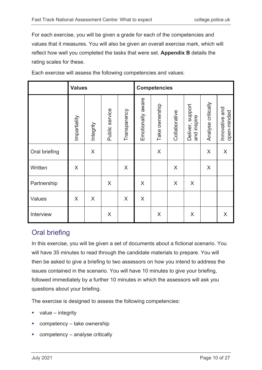For each exercise, you will be given a grade for each of the competencies and values that it measures. You will also be given an overall exercise mark, which will reflect how well you completed the tasks that were set. **Appendix B** details the rating scales for these.

|               | <b>Values</b> |           |                |              | <b>Competencies</b> |                |               |                                    |                    |                               |
|---------------|---------------|-----------|----------------|--------------|---------------------|----------------|---------------|------------------------------------|--------------------|-------------------------------|
|               | Impartiality  | Integrity | Public service | Transparency | Emotionally aware   | Take ownership | Collaborative | support<br>and inspire<br>Deliver, | Analyse critically | Innovative and<br>open-minded |
| Oral briefing |               | X         |                |              |                     | $\mathsf X$    |               |                                    | $\mathsf X$        | X                             |
| Written       | X             |           |                | X            |                     |                | X             |                                    | X                  |                               |
| Partnership   |               |           | X              |              | X                   |                | X             | X                                  |                    |                               |
| Values        | X             | X         |                | X            | X                   |                |               |                                    |                    |                               |
| Interview     |               |           | X              |              |                     | X              |               | X                                  |                    | X                             |

Each exercise will assess the following competencies and values:

### Oral briefing

In this exercise, you will be given a set of documents about a fictional scenario. You will have 35 minutes to read through the candidate materials to prepare. You will then be asked to give a briefing to two assessors on how you intend to address the issues contained in the scenario. You will have 10 minutes to give your briefing, followed immediately by a further 10 minutes in which the assessors will ask you questions about your briefing.

The exercise is designed to assess the following competencies:

- value integrity
- competency take ownership
- competency analyse critically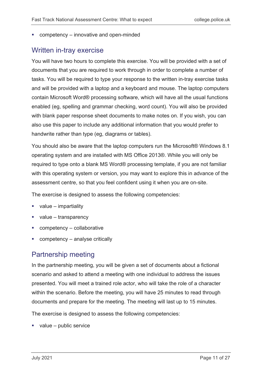■ competency – innovative and open-minded

#### Written in-tray exercise

You will have two hours to complete this exercise. You will be provided with a set of documents that you are required to work through in order to complete a number of tasks. You will be required to type your response to the written in-tray exercise tasks and will be provided with a laptop and a keyboard and mouse. The laptop computers contain Microsoft Word® processing software, which will have all the usual functions enabled (eg, spelling and grammar checking, word count). You will also be provided with blank paper response sheet documents to make notes on. If you wish, you can also use this paper to include any additional information that you would prefer to handwrite rather than type (eg, diagrams or tables).

You should also be aware that the laptop computers run the Microsoft® Windows 8.1 operating system and are installed with MS Office 2013®. While you will only be required to type onto a blank MS Word® processing template, if you are not familiar with this operating system or version, you may want to explore this in advance of the assessment centre, so that you feel confident using it when you are on-site.

The exercise is designed to assess the following competencies:

- $\blacksquare$  value impartiality
- value transparency
- competency collaborative
- competency analyse critically

### Partnership meeting

In the partnership meeting, you will be given a set of documents about a fictional scenario and asked to attend a meeting with one individual to address the issues presented. You will meet a trained role actor, who will take the role of a character within the scenario. Before the meeting, you will have 25 minutes to read through documents and prepare for the meeting. The meeting will last up to 15 minutes.

The exercise is designed to assess the following competencies:

value – public service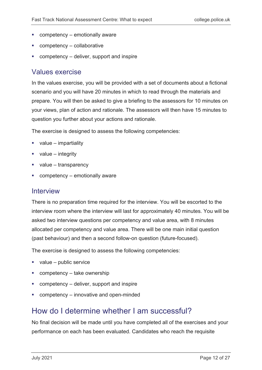- competency emotionally aware
- competency collaborative
- competency deliver, support and inspire

#### Values exercise

In the values exercise, you will be provided with a set of documents about a fictional scenario and you will have 20 minutes in which to read through the materials and prepare. You will then be asked to give a briefing to the assessors for 10 minutes on your views, plan of action and rationale. The assessors will then have 15 minutes to question you further about your actions and rationale.

The exercise is designed to assess the following competencies:

- value impartiality
- value integrity
- value transparency
- competency emotionally aware

#### Interview

There is no preparation time required for the interview. You will be escorted to the interview room where the interview will last for approximately 40 minutes. You will be asked two interview questions per competency and value area, with 8 minutes allocated per competency and value area. There will be one main initial question (past behaviour) and then a second follow-on question (future-focused).

The exercise is designed to assess the following competencies:

- value public service
- competency take ownership
- competency deliver, support and inspire
- competency innovative and open-minded

### <span id="page-11-0"></span>How do I determine whether I am successful?

No final decision will be made until you have completed all of the exercises and your performance on each has been evaluated. Candidates who reach the requisite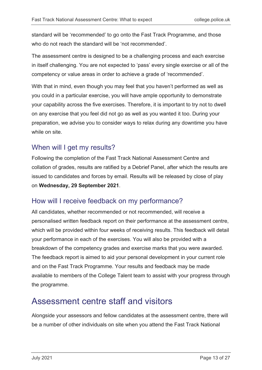standard will be 'recommended' to go onto the Fast Track Programme, and those who do not reach the standard will be 'not recommended'.

The assessment centre is designed to be a challenging process and each exercise in itself challenging. You are not expected to 'pass' every single exercise or all of the competency or value areas in order to achieve a grade of 'recommended'.

With that in mind, even though you may feel that you haven't performed as well as you could in a particular exercise, you will have ample opportunity to demonstrate your capability across the five exercises. Therefore, it is important to try not to dwell on any exercise that you feel did not go as well as you wanted it too. During your preparation, we advise you to consider ways to relax during any downtime you have while on site.

### When will I get my results?

Following the completion of the Fast Track National Assessment Centre and collation of grades, results are ratified by a Debrief Panel, after which the results are issued to candidates and forces by email. Results will be released by close of play on **Wednesday, 29 September 2021**.

### How will I receive feedback on my performance?

All candidates, whether recommended or not recommended, will receive a personalised written feedback report on their performance at the assessment centre, which will be provided within four weeks of receiving results. This feedback will detail your performance in each of the exercises. You will also be provided with a breakdown of the competency grades and exercise marks that you were awarded. The feedback report is aimed to aid your personal development in your current role and on the Fast Track Programme. Your results and feedback may be made available to members of the College Talent team to assist with your progress through the programme.

# <span id="page-12-0"></span>Assessment centre staff and visitors

Alongside your assessors and fellow candidates at the assessment centre, there will be a number of other individuals on site when you attend the Fast Track National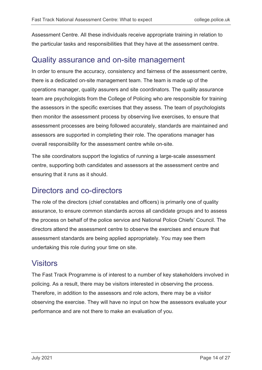Assessment Centre. All these individuals receive appropriate training in relation to the particular tasks and responsibilities that they have at the assessment centre.

### <span id="page-13-0"></span>Quality assurance and on-site management

In order to ensure the accuracy, consistency and fairness of the assessment centre, there is a dedicated on-site management team. The team is made up of the operations manager, quality assurers and site coordinators. The quality assurance team are psychologists from the College of Policing who are responsible for training the assessors in the specific exercises that they assess. The team of psychologists then monitor the assessment process by observing live exercises, to ensure that assessment processes are being followed accurately, standards are maintained and assessors are supported in completing their role. The operations manager has overall responsibility for the assessment centre while on-site.

The site coordinators support the logistics of running a large-scale assessment centre, supporting both candidates and assessors at the assessment centre and ensuring that it runs as it should.

### <span id="page-13-1"></span>Directors and co-directors

The role of the directors (chief constables and officers) is primarily one of quality assurance, to ensure common standards across all candidate groups and to assess the process on behalf of the police service and National Police Chiefs' Council. The directors attend the assessment centre to observe the exercises and ensure that assessment standards are being applied appropriately. You may see them undertaking this role during your time on site.

### <span id="page-13-2"></span>**Visitors**

The Fast Track Programme is of interest to a number of key stakeholders involved in policing. As a result, there may be visitors interested in observing the process. Therefore, in addition to the assessors and role actors, there may be a visitor observing the exercise. They will have no input on how the assessors evaluate your performance and are not there to make an evaluation of you.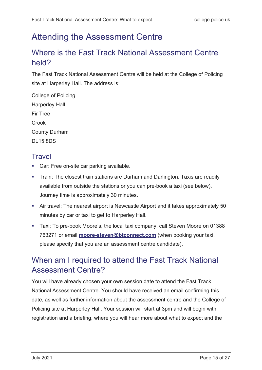# <span id="page-14-0"></span>Attending the Assessment Centre

# <span id="page-14-1"></span>Where is the Fast Track National Assessment Centre held?

The Fast Track National Assessment Centre will be held at the College of Policing site at Harperley Hall. The address is:

College of Policing Harperley Hall Fir Tree **Crook** County Durham DL15 8DS

## **Travel**

- **Car: Free on-site car parking available.**
- **Train: The closest train stations are Durham and Darlington. Taxis are readily** available from outside the stations or you can pre-book a taxi (see below). Journey time is approximately 30 minutes.
- Air travel: The nearest airport is Newcastle Airport and it takes approximately 50 minutes by car or taxi to get to Harperley Hall.
- Taxi: To pre-book Moore's, the local taxi company, call Steven Moore on 01388 763271 or email **[moore-steven@btconnect.com](mailto:moore-steven@btconnect.com)** (when booking your taxi, please specify that you are an assessment centre candidate).

# <span id="page-14-2"></span>When am I required to attend the Fast Track National Assessment Centre?

You will have already chosen your own session date to attend the Fast Track National Assessment Centre. You should have received an email confirming this date, as well as further information about the assessment centre and the College of Policing site at Harperley Hall. Your session will start at 3pm and will begin with registration and a briefing, where you will hear more about what to expect and the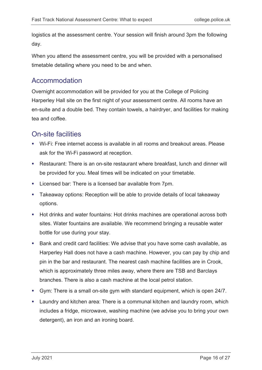logistics at the assessment centre. Your session will finish around 3pm the following day.

When you attend the assessment centre, you will be provided with a personalised timetable detailing where you need to be and when.

### Accommodation

Overnight accommodation will be provided for you at the College of Policing Harperley Hall site on the first night of your assessment centre. All rooms have an en-suite and a double bed. They contain towels, a hairdryer, and facilities for making tea and coffee.

### On-site facilities

- Wi-Fi: Free internet access is available in all rooms and breakout areas. Please ask for the Wi-Fi password at reception.
- Restaurant: There is an on-site restaurant where breakfast, lunch and dinner will be provided for you. Meal times will be indicated on your timetable.
- **EXECT:** Licensed bar: There is a licensed bar available from 7pm.
- Takeaway options: Reception will be able to provide details of local takeaway options.
- **Hot drinks and water fountains: Hot drinks machines are operational across both** sites. Water fountains are available. We recommend bringing a reusable water bottle for use during your stay.
- Bank and credit card facilities: We advise that you have some cash available, as Harperley Hall does not have a cash machine. However, you can pay by chip and pin in the bar and restaurant. The nearest cash machine facilities are in Crook, which is approximately three miles away, where there are TSB and Barclays branches. There is also a cash machine at the local petrol station.
- Gym: There is a small on-site gym with standard equipment, which is open 24/7.
- **EXT** Laundry and kitchen area: There is a communal kitchen and laundry room, which includes a fridge, microwave, washing machine (we advise you to bring your own detergent), an iron and an ironing board.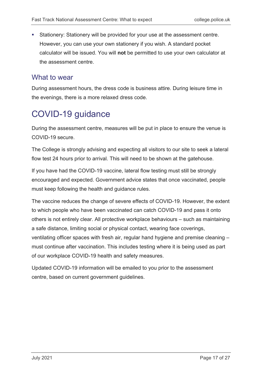Stationery: Stationery will be provided for your use at the assessment centre. However, you can use your own stationery if you wish. A standard pocket calculator will be issued. You will **not** be permitted to use your own calculator at the assessment centre.

#### What to wear

During assessment hours, the dress code is business attire. During leisure time in the evenings, there is a more relaxed dress code.

# <span id="page-16-0"></span>COVID-19 guidance

During the assessment centre, measures will be put in place to ensure the venue is COVID-19 secure.

The College is strongly advising and expecting all visitors to our site to seek a lateral flow test 24 hours prior to arrival. This will need to be shown at the gatehouse.

If you have had the COVID-19 vaccine, lateral flow testing must still be strongly encouraged and expected. Government advice states that once vaccinated, people must keep following the health and guidance rules.

The vaccine reduces the change of severe effects of COVID-19. However, the extent to which people who have been vaccinated can catch COVID-19 and pass it onto others is not entirely clear. All protective workplace behaviours – such as maintaining a safe distance, limiting social or physical contact, wearing face coverings, ventilating officer spaces with fresh air, regular hand hygiene and premise cleaning – must continue after vaccination. This includes testing where it is being used as part of our workplace COVID-19 health and safety measures.

<span id="page-16-1"></span>Updated COVID-19 information will be emailed to you prior to the assessment centre, based on current government guidelines.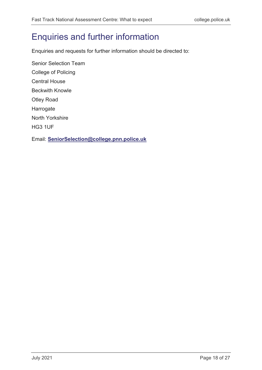# Enquiries and further information

Enquiries and requests for further information should be directed to:

Senior Selection Team College of Policing Central House Beckwith Knowle Otley Road Harrogate North Yorkshire HG3 1UF Email: **[SeniorSelection@college.pnn.police.uk](mailto:SeniorSelection@college.pnn.police.uk)**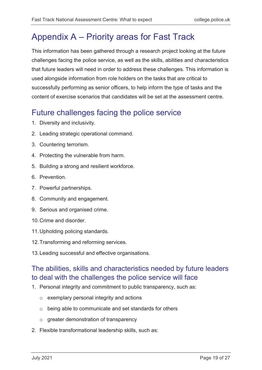# <span id="page-18-0"></span>Appendix A – Priority areas for Fast Track

This information has been gathered through a research project looking at the future challenges facing the police service, as well as the skills, abilities and characteristics that future leaders will need in order to address these challenges. This information is used alongside information from role holders on the tasks that are critical to successfully performing as senior officers, to help inform the type of tasks and the content of exercise scenarios that candidates will be set at the assessment centre.

# Future challenges facing the police service

- 1. Diversity and inclusivity.
- 2. Leading strategic operational command.
- 3. Countering terrorism.
- 4. Protecting the vulnerable from harm.
- 5. Building a strong and resilient workforce.
- 6. Prevention.
- 7. Powerful partnerships.
- 8. Community and engagement.
- 9. Serious and organised crime.
- 10.Crime and disorder.
- 11.Upholding policing standards.
- 12.Transforming and reforming services.
- 13.Leading successful and effective organisations.

### The abilities, skills and characteristics needed by future leaders to deal with the challenges the police service will face

- 1. Personal integrity and commitment to public transparency, such as:
	- o exemplary personal integrity and actions
	- o being able to communicate and set standards for others
	- o greater demonstration of transparency
- 2. Flexible transformational leadership skills, such as: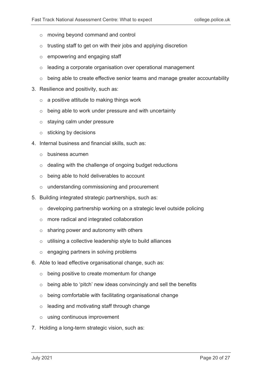- o moving beyond command and control
- $\circ$  trusting staff to get on with their jobs and applying discretion
- o empowering and engaging staff
- o leading a corporate organisation over operational management
- o being able to create effective senior teams and manage greater accountability
- 3. Resilience and positivity, such as:
	- $\circ$  a positive attitude to making things work
	- o being able to work under pressure and with uncertainty
	- o staying calm under pressure
	- $\circ$  sticking by decisions
- 4. Internal business and financial skills, such as:
	- o business acumen
	- o dealing with the challenge of ongoing budget reductions
	- o being able to hold deliverables to account
	- o understanding commissioning and procurement
- 5. Building integrated strategic partnerships, such as:
	- o developing partnership working on a strategic level outside policing
	- o more radical and integrated collaboration
	- o sharing power and autonomy with others
	- o utilising a collective leadership style to build alliances
	- o engaging partners in solving problems
- 6. Able to lead effective organisational change, such as:
	- o being positive to create momentum for change
	- o being able to 'pitch' new ideas convincingly and sell the benefits
	- o being comfortable with facilitating organisational change
	- o leading and motivating staff through change
	- o using continuous improvement
- 7. Holding a long-term strategic vision, such as: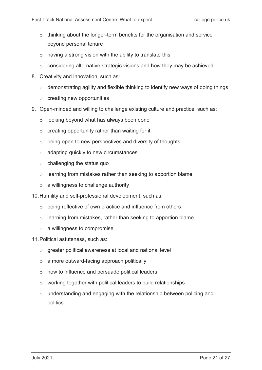- $\circ$  thinking about the longer-term benefits for the organisation and service beyond personal tenure
- $\circ$  having a strong vision with the ability to translate this
- $\circ$  considering alternative strategic visions and how they may be achieved
- 8. Creativity and innovation, such as:
	- o demonstrating agility and flexible thinking to identify new ways of doing things
	- o creating new opportunities
- 9. Open-minded and willing to challenge existing culture and practice, such as:
	- o looking beyond what has always been done
	- $\circ$  creating opportunity rather than waiting for it
	- $\circ$  being open to new perspectives and diversity of thoughts
	- o adapting quickly to new circumstances
	- o challenging the status quo
	- o learning from mistakes rather than seeking to apportion blame
	- $\circ$  a willingness to challenge authority
- 10.Humility and self-professional development, such as:
	- o being reflective of own practice and influence from others
	- o learning from mistakes, rather than seeking to apportion blame
	- o a willingness to compromise
- 11.Political astuteness, such as:
	- o greater political awareness at local and national level
	- o a more outward-facing approach politically
	- o how to influence and persuade political leaders
	- o working together with political leaders to build relationships
	- o understanding and engaging with the relationship between policing and politics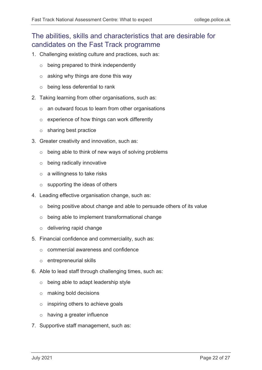## The abilities, skills and characteristics that are desirable for candidates on the Fast Track programme

- 1. Challenging existing culture and practices, such as:
	- o being prepared to think independently
	- o asking why things are done this way
	- o being less deferential to rank
- 2. Taking learning from other organisations, such as:
	- o an outward focus to learn from other organisations
	- o experience of how things can work differently
	- o sharing best practice
- 3. Greater creativity and innovation, such as:
	- o being able to think of new ways of solving problems
	- o being radically innovative
	- o a willingness to take risks
	- $\circ$  supporting the ideas of others
- 4. Leading effective organisation change, such as:
	- o being positive about change and able to persuade others of its value
	- o being able to implement transformational change
	- o delivering rapid change
- 5. Financial confidence and commerciality, such as:
	- o commercial awareness and confidence
	- o entrepreneurial skills
- 6. Able to lead staff through challenging times, such as:
	- o being able to adapt leadership style
	- o making bold decisions
	- o inspiring others to achieve goals
	- o having a greater influence
- 7. Supportive staff management, such as: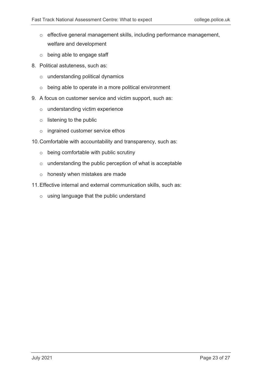- o effective general management skills, including performance management, welfare and development
- o being able to engage staff
- 8. Political astuteness, such as:
	- o understanding political dynamics
	- o being able to operate in a more political environment
- 9. A focus on customer service and victim support, such as:
	- o understanding victim experience
	- o listening to the public
	- o ingrained customer service ethos
- 10.Comfortable with accountability and transparency, such as:
	- o being comfortable with public scrutiny
	- o understanding the public perception of what is acceptable
	- o honesty when mistakes are made
- 11.Effective internal and external communication skills, such as:
	- o using language that the public understand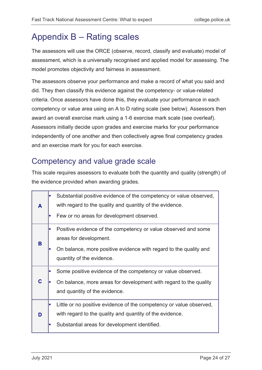# <span id="page-23-0"></span>Appendix B – Rating scales

The assessors will use the ORCE (observe, record, classify and evaluate) model of assessment, which is a universally recognised and applied model for assessing. The model promotes objectivity and fairness in assessment.

The assessors observe your performance and make a record of what you said and did. They then classify this evidence against the competency- or value-related criteria. Once assessors have done this, they evaluate your performance in each competency or value area using an A to D rating scale (see below). Assessors then award an overall exercise mark using a 1-6 exercise mark scale (see overleaf). Assessors initially decide upon grades and exercise marks for your performance independently of one another and then collectively agree final competency grades and an exercise mark for you for each exercise.

# Competency and value grade scale

This scale requires assessors to evaluate both the quantity and quality (strength) of the evidence provided when awarding grades.

| A | Substantial positive evidence of the competency or value observed,<br>with regard to the quality and quantity of the evidence.                                                   |
|---|----------------------------------------------------------------------------------------------------------------------------------------------------------------------------------|
|   | Few or no areas for development observed.                                                                                                                                        |
| B | Positive evidence of the competency or value observed and some<br>areas for development.                                                                                         |
|   | On balance, more positive evidence with regard to the quality and<br>quantity of the evidence.                                                                                   |
| C | Some positive evidence of the competency or value observed.<br>On balance, more areas for development with regard to the quality<br>and quantity of the evidence.                |
| D | Little or no positive evidence of the competency or value observed,<br>with regard to the quality and quantity of the evidence.<br>Substantial areas for development identified. |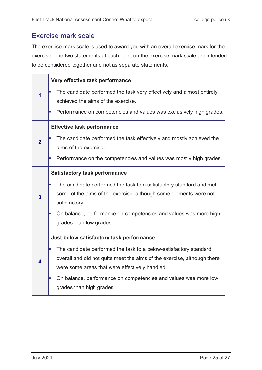#### Exercise mark scale

The exercise mark scale is used to award you with an overall exercise mark for the exercise. The two statements at each point on the exercise mark scale are intended to be considered together and not as separate statements.

|                | Very effective task performance                                                                                                                    |
|----------------|----------------------------------------------------------------------------------------------------------------------------------------------------|
| 1              | The candidate performed the task very effectively and almost entirely<br>achieved the aims of the exercise.                                        |
|                | Performance on competencies and values was exclusively high grades.<br>L.                                                                          |
|                | <b>Effective task performance</b>                                                                                                                  |
| $\overline{2}$ | The candidate performed the task effectively and mostly achieved the<br>aims of the exercise.                                                      |
|                | Performance on the competencies and values was mostly high grades.<br>L.                                                                           |
|                | <b>Satisfactory task performance</b>                                                                                                               |
| 3              | The candidate performed the task to a satisfactory standard and met<br>E                                                                           |
|                | some of the aims of the exercise, although some elements were not<br>satisfactory.                                                                 |
|                | On balance, performance on competencies and values was more high<br>L.<br>grades than low grades.                                                  |
|                |                                                                                                                                                    |
|                | Just below satisfactory task performance                                                                                                           |
| 4              | The candidate performed the task to a below-satisfactory standard<br>I.<br>overall and did not quite meet the aims of the exercise, although there |
|                | were some areas that were effectively handled.                                                                                                     |
|                | On balance, performance on competencies and values was more low<br>L.                                                                              |
|                | grades than high grades.                                                                                                                           |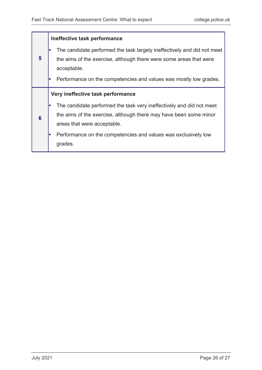#### **Ineffective task performance**

- **5** The candidate performed the task largely ineffectively and did not meet the aims of the exercise, although there were some areas that were acceptable. Performance on the competencies and values was mostly low grades. **Very ineffective task performance** The candidate performed the task very ineffectively and did not meet
	- **6** the aims of the exercise, although there may have been some minor areas that were acceptable.
		- Performance on the competencies and values was exclusively low grades.